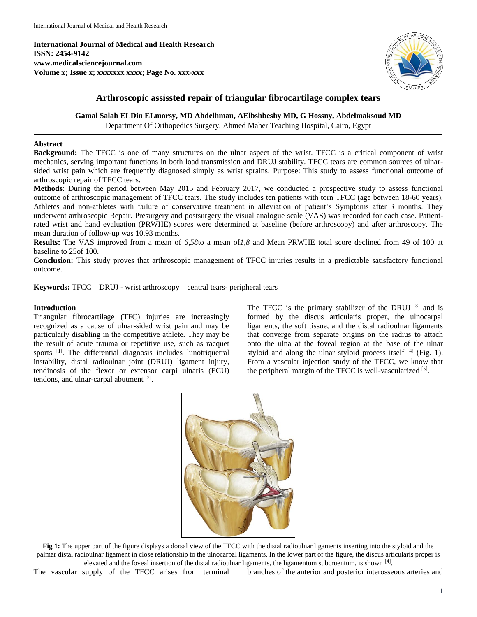**International Journal of Medical and Health Research ISSN: 2454-9142 www.medicalsciencejournal.com Volume x; Issue x; xxxxxxx xxxx; Page No. xxx-xxx**



# **Arthroscopic assissted repair of triangular fibrocartilage complex tears**

**Gamal Salah ELDin ELmorsy, MD Abdelhman, AElbshbeshy MD, G Hossny, Abdelmaksoud MD**

Department Of Orthopedics Surgery, Ahmed Maher Teaching Hospital, Cairo, Egypt

## **Abstract**

**Background:** The TFCC is one of many structures on the ulnar aspect of the wrist. TFCC is a critical component of wrist mechanics, serving important functions in both load transmission and DRUJ stability. TFCC tears are common sources of ulnarsided wrist pain which are frequently diagnosed simply as wrist sprains. Purpose: This study to assess functional outcome of arthroscopic repair of TFCC tears.

**Methods**: During the period between May 2015 and February 2017, we conducted a prospective study to assess functional outcome of arthroscopic management of TFCC tears. The study includes ten patients with torn TFCC (age between 18-60 years). Athletes and non-athletes with failure of conservative treatment in alleviation of patient's Symptoms after 3 months. They underwent arthroscopic Repair. Presurgery and postsurgery the visual analogue scale (VAS) was recorded for each case. Patientrated wrist and hand evaluation (PRWHE) scores were determined at baseline (before arthroscopy) and after arthroscopy. The mean duration of follow-up was 10.93 months.

**Results:** The VAS improved from a mean of *6,58*to a mean of*1,8* and Mean PRWHE total score declined from 49 of 100 at baseline to 25of 100.

**Conclusion:** This study proves that arthroscopic management of TFCC injuries results in a predictable satisfactory functional outcome.

**Keywords:** TFCC – DRUJ - wrist arthroscopy – central tears- peripheral tears

## **Introduction**

Triangular fibrocartilage (TFC) injuries are increasingly recognized as a cause of ulnar-sided wrist pain and may be particularly disabling in the competitive athlete. They may be the result of acute trauma or repetitive use, such as racquet sports <sup>[1]</sup>. The differential diagnosis includes lunotriquetral instability, distal radioulnar joint (DRUJ) ligament injury, tendinosis of the flexor or extensor carpi ulnaris (ECU) tendons, and ulnar-carpal abutment [2].

The TFCC is the primary stabilizer of the DRUJ <sup>[3]</sup> and is formed by the discus articularis proper, the ulnocarpal ligaments, the soft tissue, and the distal radioulnar ligaments that converge from separate origins on the radius to attach onto the ulna at the foveal region at the base of the ulnar styloid and along the ulnar styloid process itself  $[4]$  (Fig. 1). From a vascular injection study of the TFCC, we know that the peripheral margin of the TFCC is well-vascularized [5].



**Fig 1:** The upper part of the figure displays a dorsal view of the TFCC with the distal radioulnar ligaments inserting into the styloid and the palmar distal radioulnar ligament in close relationship to the ulnocarpal ligaments. In the lower part of the figure, the discus articularis proper is elevated and the foveal insertion of the distal radioulnar ligaments, the ligamentum subcruentum, is shown  $^{[4]}$ .

The vascular supply of the TFCC arises from terminal branches of the anterior and posterior interosseous arteries and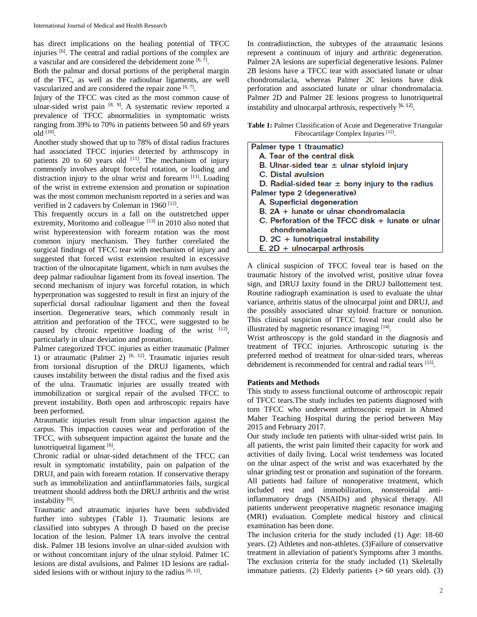has direct implications on the healing potential of TFCC injuries [6]. The central and radial portions of the complex are a vascular and are considered the debridement zone  $[6, 7]$ .

Both the palmar and dorsal portions of the peripheral margin of the TFC, as well as the radioulnar ligaments, are well vascularized and are considered the repair zone  $[6, 7]$ .

Injury of the TFCC was cited as the most common cause of ulnar-sided wrist pain  $[8, 9]$ . A systematic review reported a prevalence of TFCC abnormalities in symptomatic wrists ranging from 39% to 70% in patients between 50 and 69 years  $old$ <sup>[10]</sup>.

Another study showed that up to 78% of distal radius fractures had associated TFCC injuries detected by arthroscopy in patients 20 to 60 years old  $[11]$ . The mechanism of injury commonly involves abrupt forceful rotation, or loading and distraction injury to the ulnar wrist and forearm [11]. Loading of the wrist in extreme extension and pronation or supination was the most common mechanism reported in a series and was verified in 2 cadavers by Coleman in 1960<sup>[12]</sup>.

This frequently occurs in a fall on the outstretched upper extremity, Moritomo and colleague [13] in 2010 also noted that wrist hyperextension with forearm rotation was the most common injury mechanism. They further correlated the surgical findings of TFCC tear with mechanism of injury and suggested that forced wrist extension resulted in excessive traction of the ulnocapitate ligament, which in turn avulses the deep palmar radioulnar ligament from its foveal insertion. The second mechanism of injury was forceful rotation, in which hyperpronation was suggested to result in first an injury of the superficial dorsal radioulnar ligament and then the foveal insertion. Degenerative tears, which commonly result in attrition and perforation of the TFCC, were suggested to be caused by chronic repetitive loading of the wrist  $[12]$ , particularly in ulnar deviation and pronation.

Palmer categorized TFCC injuries as either traumatic (Palmer 1) or atraumatic (Palmer 2)  $[6, 12]$ . Traumatic injuries result from torsional disruption of the DRUJ ligaments, which causes instability between the distal radius and the fixed axis of the ulna. Traumatic injuries are usually treated with immobilization or surgical repair of the avulsed TFCC to prevent instability. Both open and arthroscopic repairs have been performed.

Atraumatic injuries result from ulnar impaction against the carpus. This impaction causes wear and perforation of the TFCC, with subsequent impaction against the lunate and the lunotriquetral ligament [6].

Chronic radial or ulnar-sided detachment of the TFCC can result in symptomatic instability, pain on palpation of the DRUJ, and pain with forearm rotation. If conservative therapy such as immobilization and antiinflammatories fails, surgical treatment should address both the DRUJ arthritis and the wrist instability<sup>[6]</sup>.

Traumatic and atraumatic injuries have been subdivided further into subtypes (Table 1). Traumatic lesions are classified into subtypes A through D based on the precise location of the lesion. Palmer 1A tears involve the central disk. Palmer 1B lesions involve an ulnar-sided avulsion with or without concomitant injury of the ulnar styloid. Palmer 1C lesions are distal avulsions, and Palmer 1D lesions are radialsided lesions with or without injury to the radius  $[6, 12]$ .

In contradistinction, the subtypes of the atraumatic lesions represent a continuum of injury and arthritic degeneration. Palmer 2A lesions are superficial degenerative lesions. Palmer 2B lesions have a TFCC tear with associated lunate or ulnar chondromalacia, whereas Palmer 2C lesions have disk perforation and associated lunate or ulnar chondromalacia. Palmer 2D and Palmer 2E lesions progress to lunotriquetral instability and ulnocarpal arthrosis, respectively [6, 12].

**Table 1:** Palmer Classification of Acute and Degenerative Triangular Fibrocartilage Complex Injuries<sup>[12]</sup>.

| Palmer type 1 (traumatic)                            |
|------------------------------------------------------|
| A. Tear of the central disk                          |
| B. Ulnar-sided tear $\pm$ ulnar styloid injury       |
| C. Distal avulsion                                   |
| D. Radial-sided tear $\pm$ bony injury to the radius |
| Palmer type 2 (degenerative)                         |
| A. Superficial degeneration                          |
| B. 2A + lunate or ulnar chondromalacia               |
| C. Perforation of the TFCC disk + lunate or ulnar    |
| chondromalacia                                       |
| $D. 2C +$ lunotriquetral instability                 |
| $F. 2D +$ ulnocarpal arthrosis                       |

A clinical suspicion of TFCC foveal tear is based on the traumatic history of the involved wrist, positive ulnar fovea sign, and DRUJ laxity found in the DRUJ ballottement test. Routine radiograph examination is used to evaluate the ulnar variance, arthritis status of the ulnocarpal joint and DRUJ, and the possibly associated ulnar styloid fracture or nonunion. This clinical suspicion of TFCC foveal tear could also be illustrated by magnetic resonance imaging [14].

Wrist arthroscopy is the gold standard in the diagnosis and treatment of TFCC injuries. Arthroscopic suturing is the preferred method of treatment for ulnar-sided tears, whereas debridement is recommended for central and radial tears [15].

# **Patients and Methods**

This study to assess functional outcome of arthroscopic repair of TFCC tears.The study includes ten patients diagnosed with torn TFCC who underwent arthroscopic repairt in Ahmed Maher Teaching Hospital during the period between May 2015 and February 2017.

Our study include ten patients with ulnar-sided wrist pain. In all patients, the wrist pain limited their capacity for work and activities of daily living. Local wrist tenderness was located on the ulnar aspect of the wrist and was exacerbated by the ulnar grinding test or pronation and supination of the forearm. All patients had failure of nonoperative treatment, which included rest and immobilization, nonsteroidal antiinflammatory drugs (NSAIDs) and physical therapy. All patients underwent preoperative magnetic resonance imaging (MRI) evaluation. Complete medical history and clinical examination has been done.

The inclusion criteria for the study included (1) Age: 18-60 years. (2) Athletes and non-athletes. (3)Failure of conservative treatment in alleviation of patient's Symptoms after 3 months. The exclusion criteria for the study included (1) Skeletally immature patients. (2) Elderly patients (**<sup>&</sup>lt;** 60 years old). (3)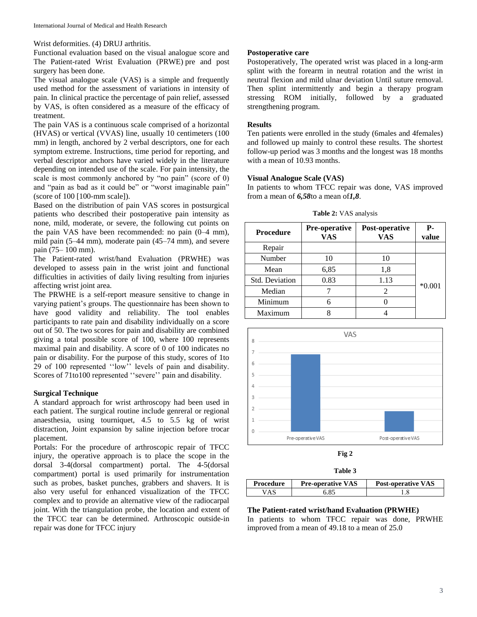Wrist deformities. (4) DRUJ arthritis.

Functional evaluation based on the visual analogue score and The Patient-rated Wrist Evaluation (PRWE) pre and post surgery has been done.

The visual analogue scale (VAS) is a simple and frequently used method for the assessment of variations in intensity of pain. In clinical practice the percentage of pain relief, assessed by VAS, is often considered as a measure of the efficacy of treatment.

The pain VAS is a continuous scale comprised of a horizontal (HVAS) or vertical (VVAS) line, usually 10 centimeters (100 mm) in length, anchored by 2 verbal descriptors, one for each symptom extreme. Instructions, time period for reporting, and verbal descriptor anchors have varied widely in the literature depending on intended use of the scale. For pain intensity, the scale is most commonly anchored by "no pain" (score of 0) and "pain as bad as it could be" or "worst imaginable pain" (score of 100 [100-mm scale]).

Based on the distribution of pain VAS scores in postsurgical patients who described their postoperative pain intensity as none, mild, moderate, or severe, the following cut points on the pain VAS have been recommended: no pain (0–4 mm), mild pain (5–44 mm), moderate pain (45–74 mm), and severe pain (75– 100 mm).

The Patient-rated wrist/hand Evaluation (PRWHE) was developed to assess pain in the wrist joint and functional difficulties in activities of daily living resulting from injuries affecting wrist joint area.

The PRWHE is a self-report measure sensitive to change in varying patient's groups. The questionnaire has been shown to have good validity and reliability. The tool enables participants to rate pain and disability individually on a score out of 50. The two scores for pain and disability are combined giving a total possible score of 100, where 100 represents maximal pain and disability. A score of 0 of 100 indicates no pain or disability. For the purpose of this study, scores of 1to 29 of 100 represented "low" levels of pain and disability. Scores of 71to100 represented ''severe'' pain and disability.

## **Surgical Technique**

A standard approach for wrist arthroscopy had been used in each patient. The surgical routine include genreral or regional anaesthesia, using tourniquet, 4.5 to 5.5 kg of wrist distraction, Joint expansion by saline injection before trocar placement.

Portals: For the procedure of arthroscopic repair of TFCC injury, the operative approach is to place the scope in the dorsal 3-4(dorsal compartment) portal. The 4-5(dorsal compartment) portal is used primarily for instrumentation such as probes, basket punches, grabbers and shavers. It is also very useful for enhanced visualization of the TFCC complex and to provide an alternative view of the radiocarpal joint. With the triangulation probe, the location and extent of the TFCC tear can be determined. Arthroscopic outside-in repair was done for TFCC injury

## **Postoperative care**

Postoperatively, The operated wrist was placed in a long-arm splint with the forearm in neutral rotation and the wrist in neutral flexion and mild ulnar deviation Until suture removal. Then splint intermittently and begin a therapy program stressing ROM initially, followed by a graduated strengthening program.

## **Results**

Ten patients were enrolled in the study (6males and 4females) and followed up mainly to control these results. The shortest follow-up period was 3 months and the longest was 18 months with a mean of 10.93 months.

### **Visual Analogue Scale (VAS)**

In patients to whom TFCC repair was done, VAS improved from a mean of *6,58*to a mean of*1,8*.

**Table 2:** VAS analysis

| <b>Procedure</b>      | Pre-operative<br><b>VAS</b> | Post-operative<br><b>VAS</b> | Р.<br>value |
|-----------------------|-----------------------------|------------------------------|-------------|
| Repair                |                             |                              |             |
| Number                | 10                          | 10                           |             |
| Mean                  | 6,85                        | 1,8                          |             |
| <b>Std. Deviation</b> | 0.83                        | 1.13                         | $*0.001$    |
| Median                |                             | 2                            |             |
| Minimum               | 6                           |                              |             |
| Maximum               | o                           |                              |             |





| ונזו |
|------|
|------|

| Procedure | <b>Pre-operative VAS</b> | <b>Post-operative VAS</b> |
|-----------|--------------------------|---------------------------|
| VAS       |                          |                           |

### **The Patient-rated wrist/hand Evaluation (PRWHE)**

In patients to whom TFCC repair was done, PRWHE improved from a mean of 49.18 to a mean of 25.0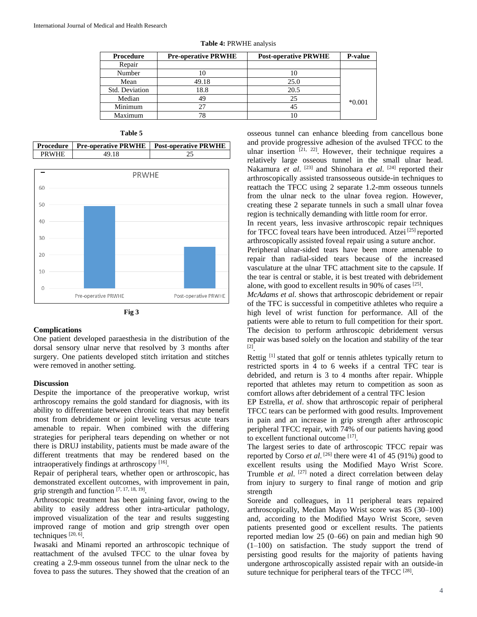| <b>Procedure</b> | <b>Pre-operative PRWHE</b><br><b>Post-operative PRWHE</b> |      | P-value  |
|------------------|-----------------------------------------------------------|------|----------|
| Repair           |                                                           |      |          |
| Number           | 10                                                        | 10   |          |
| Mean             | 49.18                                                     | 25.0 |          |
| Std. Deviation   | 18.8                                                      | 20.5 |          |
| Median           | 49                                                        | 25   | $*0.001$ |
| Minimum          | 27                                                        | 45   |          |
| Maximum          | 78                                                        | 10   |          |

|  |  |  | Table 4: PRWHE analysis |  |  |
|--|--|--|-------------------------|--|--|
|--|--|--|-------------------------|--|--|

## **Table 5**

**Procedure Pre-operative PRWHE Post-operative PRWHE** PRWHE 49.18 25





#### **Complications**

One patient developed paraesthesia in the distribution of the dorsal sensory ulnar nerve that resolved by 3 months after surgery. One patients developed stitch irritation and stitches were removed in another setting.

#### **Discussion**

Despite the importance of the preoperative workup, wrist arthroscopy remains the gold standard for diagnosis, with its ability to differentiate between chronic tears that may benefit most from debridement or joint leveling versus acute tears amenable to repair. When combined with the differing strategies for peripheral tears depending on whether or not there is DRUJ instability, patients must be made aware of the different treatments that may be rendered based on the intraoperatively findings at arthroscopy<sup>[16]</sup>.

Repair of peripheral tears, whether open or arthroscopic, has demonstrated excellent outcomes, with improvement in pain, grip strength and function [7, 17, 18, 19] .

Arthroscopic treatment has been gaining favor, owing to the ability to easily address other intra-articular pathology, improved visualization of the tear and results suggesting improved range of motion and grip strength over open techniques  $[20, 6]$ .

Iwasaki and Minami reported an arthroscopic technique of reattachment of the avulsed TFCC to the ulnar fovea by creating a 2.9-mm osseous tunnel from the ulnar neck to the fovea to pass the sutures. They showed that the creation of an

osseous tunnel can enhance bleeding from cancellous bone and provide progressive adhesion of the avulsed TFCC to the ulnar insertion  $[21, 22]$ . However, their technique requires a relatively large osseous tunnel in the small ulnar head. Nakamura *et al.* <sup>[23]</sup> and Shinohara *et al.* <sup>[24]</sup> reported their arthroscopically assisted transosseous outside-in techniques to reattach the TFCC using 2 separate 1.2-mm osseous tunnels from the ulnar neck to the ulnar fovea region. However, creating these 2 separate tunnels in such a small ulnar fovea region is technically demanding with little room for error.

In recent years, less invasive arthroscopic repair techniques for TFCC foveal tears have been introduced. Atzei [25] reported arthroscopically assisted foveal repair using a suture anchor.

Peripheral ulnar-sided tears have been more amenable to repair than radial-sided tears because of the increased vasculature at the ulnar TFC attachment site to the capsule. If the tear is central or stable, it is best treated with debridement alone, with good to excellent results in 90% of cases [25].

*McAdams et al.* shows that arthroscopic debridement or repair of the TFC is successful in competitive athletes who require a high level of wrist function for performance. All of the patients were able to return to full competition for their sport. The decision to perform arthroscopic debridement versus repair was based solely on the location and stability of the tear [2] .

Rettig [1] stated that golf or tennis athletes typically return to restricted sports in 4 to 6 weeks if a central TFC tear is debrided, and return is 3 to 4 months after repair. Whipple reported that athletes may return to competition as soon as comfort allows after debridement of a central TFC lesion

EP Estrella, *et al*. show that arthroscopic repair of peripheral TFCC tears can be performed with good results. Improvement in pain and an increase in grip strength after arthroscopic peripheral TFCC repair, with 74% of our patients having good to excellent functional outcome [17].

The largest series to date of arthroscopic TFCC repair was reported by Corso *et al*.<sup>[26]</sup> there were 41 of 45 (91%) good to excellent results using the Modified Mayo Wrist Score. Trumble *et al*. [27] noted a direct correlation between delay from injury to surgery to final range of motion and grip strength

Soreide and colleagues, in 11 peripheral tears repaired arthroscopically, Median Mayo Wrist score was 85 (30–100) and, according to the Modified Mayo Wrist Score, seven patients presented good or excellent results. The patients reported median low 25 (0–66) on pain and median high 90 (1–100) on satisfaction. The study support the trend of persisting good results for the majority of patients having undergone arthroscopically assisted repair with an outside-in suture technique for peripheral tears of the TFCC<sup>[28]</sup>.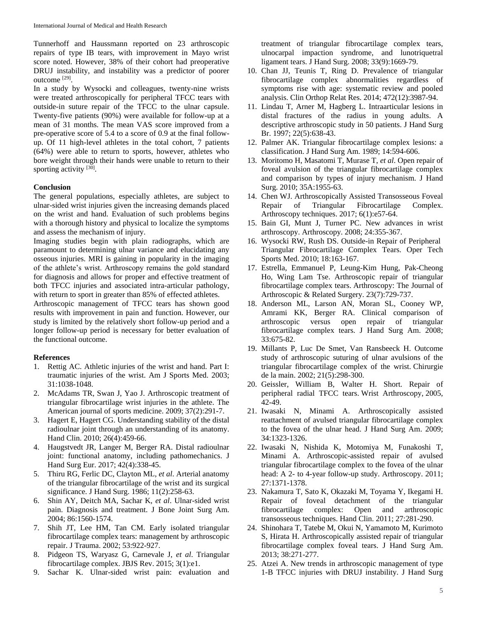Tunnerhoff and Haussmann reported on 23 arthroscopic repairs of type IB tears, with improvement in Mayo wrist score noted. However, 38% of their cohort had preoperative DRUJ instability, and instability was a predictor of poorer outcome<sup>[29]</sup>.

In a study by Wysocki and colleagues, twenty-nine wrists were treated arthroscopically for peripheral TFCC tears with outside-in suture repair of the TFCC to the ulnar capsule. Twenty-five patients (90%) were available for follow-up at a mean of 31 months. The mean VAS score improved from a pre-operative score of 5.4 to a score of 0.9 at the final followup. Of 11 high-level athletes in the total cohort, 7 patients (64%) were able to return to sports, however, athletes who bore weight through their hands were unable to return to their sporting activity [30].

### **Conclusion**

The general populations, especially athletes, are subject to ulnar-sided wrist injuries given the increasing demands placed on the wrist and hand. Evaluation of such problems begins with a thorough history and physical to localize the symptoms and assess the mechanism of injury.

Imaging studies begin with plain radiographs, which are paramount to determining ulnar variance and elucidating any osseous injuries. MRI is gaining in popularity in the imaging of the athlete's wrist. Arthroscopy remains the gold standard for diagnosis and allows for proper and effective treatment of both TFCC injuries and associated intra-articular pathology, with return to sport in greater than 85% of effected athletes.

Arthroscopic management of TFCC tears has shown good results with improvement in pain and function. However, our study is limited by the relatively short follow-up period and a longer follow-up period is necessary for better evaluation of the functional outcome.

# **References**

- 1. Rettig AC. Athletic injuries of the wrist and hand. Part I: traumatic injuries of the wrist. Am J Sports Med. 2003; 31:1038-1048.
- 2. McAdams TR, Swan J, Yao J. Arthroscopic treatment of triangular fibrocartilage wrist injuries in the athlete. The American journal of sports medicine. 2009; 37(2):291-7.
- 3. Hagert E, Hagert CG. Understanding stability of the distal radioulnar joint through an understanding of its anatomy. Hand Clin. 2010; 26(4):459-66.
- 4. Haugstvedt JR, Langer M, Berger RA. Distal radioulnar joint: functional anatomy, including pathomechanics. J Hand Surg Eur. 2017; 42(4):338-45.
- 5. Thiru RG, Ferlic DC, Clayton ML, *et al*. Arterial anatomy of the triangular fibrocartilage of the wrist and its surgical significance. J Hand Surg. 1986; 11(2):258-63.
- 6. Shin AY, Deitch MA, Sachar K, *et al*. Ulnar-sided wrist pain. Diagnosis and treatment. J Bone Joint Surg Am. 2004; 86:1560-1574.
- 7. Shih JT, Lee HM, Tan CM. Early isolated triangular fibrocartilage complex tears: management by arthroscopic repair. J Trauma. 2002; 53:922-927.
- 8. Pidgeon TS, Waryasz G, Carnevale J, *et al*. Triangular fibrocartilage complex. JBJS Rev. 2015; 3(1):e1.
- 9. Sachar K. Ulnar-sided wrist pain: evaluation and

treatment of triangular fibrocartilage complex tears, ulnocarpal impaction syndrome, and lunotriquetral ligament tears. J Hand Surg. 2008; 33(9):1669-79.

- 10. Chan JJ, Teunis T, Ring D. Prevalence of triangular fibrocartilage complex abnormalities regardless of symptoms rise with age: systematic review and pooled analysis. Clin Orthop Relat Res. 2014; 472(12):3987-94.
- 11. Lindau T, Arner M, Hagberg L. Intraarticular lesions in distal fractures of the radius in young adults. A descriptive arthroscopic study in 50 patients. J Hand Surg Br. 1997; 22(5):638-43.
- 12. Palmer AK. Triangular fibrocartilage complex lesions: a classification. J Hand Surg Am. 1989; 14:594-606.
- 13. Moritomo H, Masatomi T, Murase T, *et al*. Open repair of foveal avulsion of the triangular fibrocartilage complex and comparison by types of injury mechanism. J Hand Surg. 2010; 35A:1955-63.
- 14. Chen WJ. Arthroscopically Assisted Transosseous Foveal Repair of Triangular Fibrocartilage Complex. Arthroscopy techniques. 2017; 6(1):e57-64.
- 15. Bain GI, Munt J, Turner PC. New advances in wrist arthroscopy. Arthroscopy. 2008; 24:355-367.
- 16. Wysocki RW, Rush DS. Outside-in Repair of Peripheral Triangular Fibrocartilage Complex Tears. Oper Tech Sports Med. 2010; 18:163-167.
- 17. Estrella, Emmanuel P, Leung-Kim Hung, Pak-Cheong Ho, Wing Lam Tse. Arthroscopic repair of triangular fibrocartilage complex tears. Arthroscopy: The Journal of Arthroscopic & Related Surgery. 23(7):729-737.
- 18. Anderson ML, Larson AN, Moran SL, Cooney WP, Amrami KK, Berger RA. Clinical comparison of arthroscopic versus open repair of triangular fibrocartilage complex tears. J Hand Surg Am. 2008; 33:675-82.
- 19. Millants P, Luc De Smet, Van Ransbeeck H. Outcome study of arthroscopic suturing of ulnar avulsions of the triangular fibrocartilage complex of the wrist. Chirurgie de la main. 2002; 21(5):298-300.
- 20. Geissler, William B, Walter H. Short. Repair of peripheral radial TFCC tears. Wrist Arthroscopy, 2005, 42-49.
- 21. Iwasaki N, Minami A. Arthroscopically assisted reattachment of avulsed triangular fibrocartilage complex to the fovea of the ulnar head. J Hand Surg Am. 2009; 34:1323-1326.
- 22. Iwasaki N, Nishida K, Motomiya M, Funakoshi T, Minami A. Arthroscopic-assisted repair of avulsed triangular fibrocartilage complex to the fovea of the ulnar head: A 2- to 4-year follow-up study. Arthroscopy. 2011; 27:1371-1378.
- 23. Nakamura T, Sato K, Okazaki M, Toyama Y, Ikegami H. Repair of foveal detachment of the triangular fibrocartilage complex: Open and arthroscopic transosseous techniques. Hand Clin. 2011; 27:281-290.
- 24. Shinohara T, Tatebe M, Okui N, Yamamoto M, Kurimoto S, Hirata H. Arthroscopically assisted repair of triangular fibrocartilage complex foveal tears. J Hand Surg Am. 2013; 38:271-277.
- 25. Atzei A. New trends in arthroscopic management of type 1-B TFCC injuries with DRUJ instability. J Hand Surg